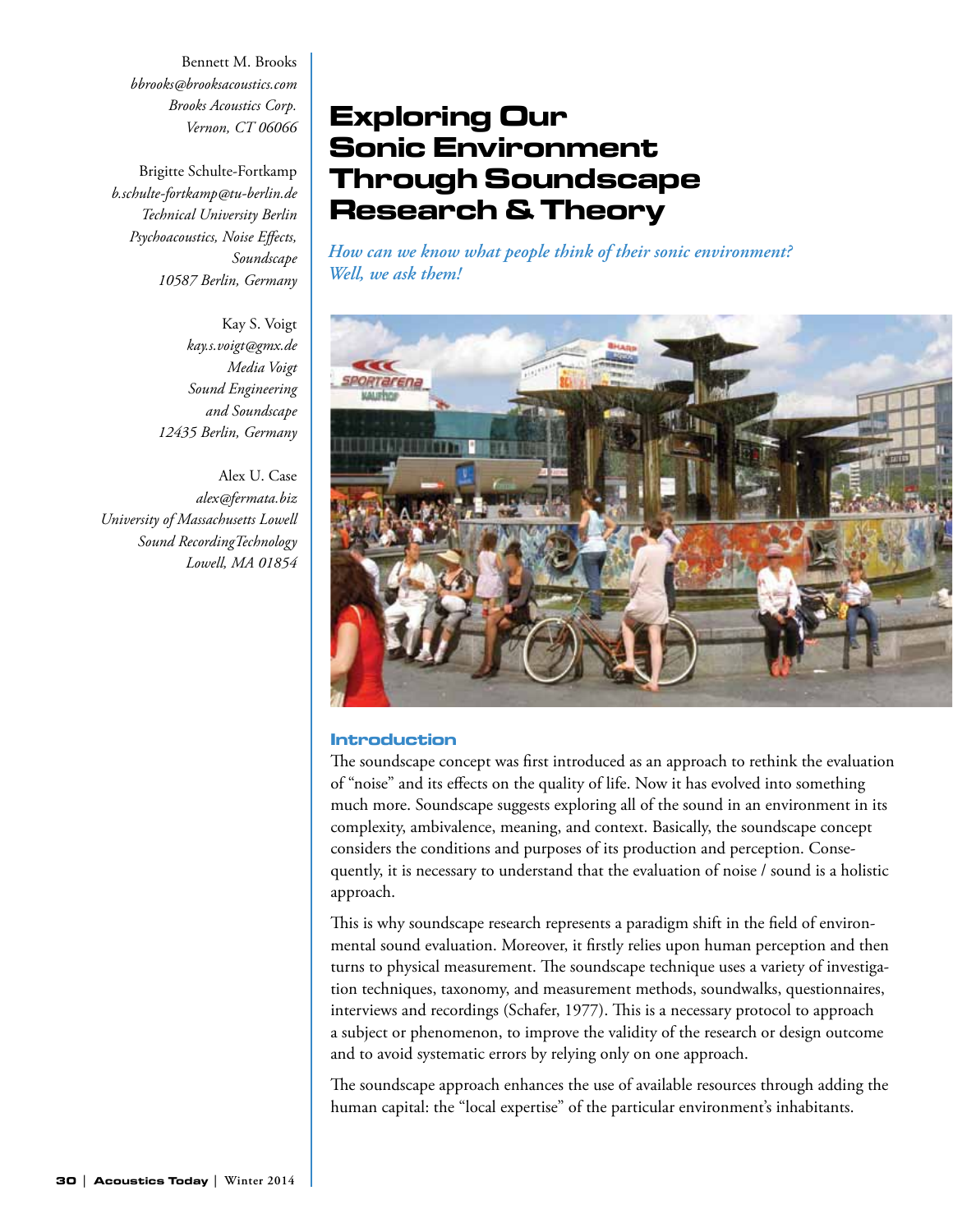Bennett M. Brooks *bbrooks@brooksacoustics.com Brooks Acoustics Corp. Vernon, CT 06066*

Brigitte Schulte-Fortkamp *b.schulte-fortkamp@tu-berlin.de Technical University Berlin Psychoacoustics, Noise Effects, Soundscape 10587 Berlin, Germany*

> Kay S. Voigt *kay.s.voigt@gmx.de Media Voigt Sound Engineering and Soundscape 12435 Berlin, Germany*

Alex U. Case *alex@fermata.biz University of Massachusetts Lowell Sound RecordingTechnology Lowell, MA 01854*

# Exploring Our Sonic Environment Through Soundscape Research & Theory

*How can we know what people think of their sonic environment? Well, we ask them!*



#### Introduction

The soundscape concept was first introduced as an approach to rethink the evaluation of "noise" and its effects on the quality of life. Now it has evolved into something much more. Soundscape suggests exploring all of the sound in an environment in its complexity, ambivalence, meaning, and context. Basically, the soundscape concept considers the conditions and purposes of its production and perception. Consequently, it is necessary to understand that the evaluation of noise / sound is a holistic approach.

This is why soundscape research represents a paradigm shift in the field of environmental sound evaluation. Moreover, it firstly relies upon human perception and then turns to physical measurement. The soundscape technique uses a variety of investigation techniques, taxonomy, and measurement methods, soundwalks, questionnaires, interviews and recordings (Schafer, 1977). This is a necessary protocol to approach a subject or phenomenon, to improve the validity of the research or design outcome and to avoid systematic errors by relying only on one approach.

The soundscape approach enhances the use of available resources through adding the human capital: the "local expertise" of the particular environment's inhabitants.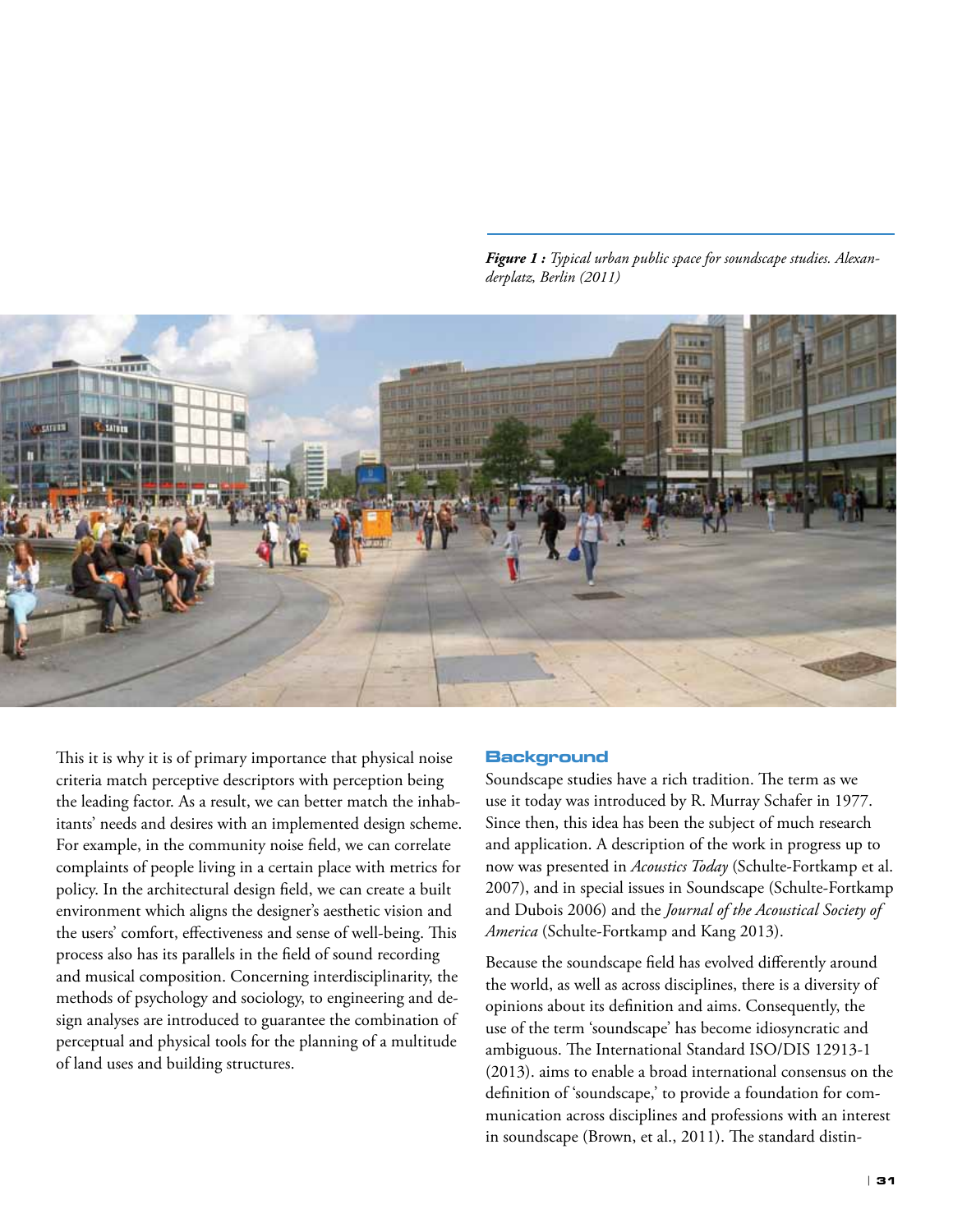*Figure 1 : Typical urban public space for soundscape studies. Alexanderplatz, Berlin (2011)*



This it is why it is of primary importance that physical noise criteria match perceptive descriptors with perception being the leading factor. As a result, we can better match the inhabitants' needs and desires with an implemented design scheme. For example, in the community noise field, we can correlate complaints of people living in a certain place with metrics for policy. In the architectural design field, we can create a built environment which aligns the designer's aesthetic vision and the users' comfort, effectiveness and sense of well-being. This process also has its parallels in the field of sound recording and musical composition. Concerning interdisciplinarity, the methods of psychology and sociology, to engineering and design analyses are introduced to guarantee the combination of perceptual and physical tools for the planning of a multitude of land uses and building structures.

#### **Background**

Soundscape studies have a rich tradition. The term as we use it today was introduced by R. Murray Schafer in 1977. Since then, this idea has been the subject of much research and application. A description of the work in progress up to now was presented in *Acoustics Today* (Schulte-Fortkamp et al. 2007), and in special issues in Soundscape (Schulte-Fortkamp and Dubois 2006) and the *Journal of the Acoustical Society of America* (Schulte-Fortkamp and Kang 2013).

Because the soundscape field has evolved differently around the world, as well as across disciplines, there is a diversity of opinions about its definition and aims. Consequently, the use of the term 'soundscape' has become idiosyncratic and ambiguous. The International Standard ISO/DIS 12913-1 (2013). aims to enable a broad international consensus on the definition of 'soundscape,' to provide a foundation for communication across disciplines and professions with an interest in soundscape (Brown, et al., 2011). The standard distin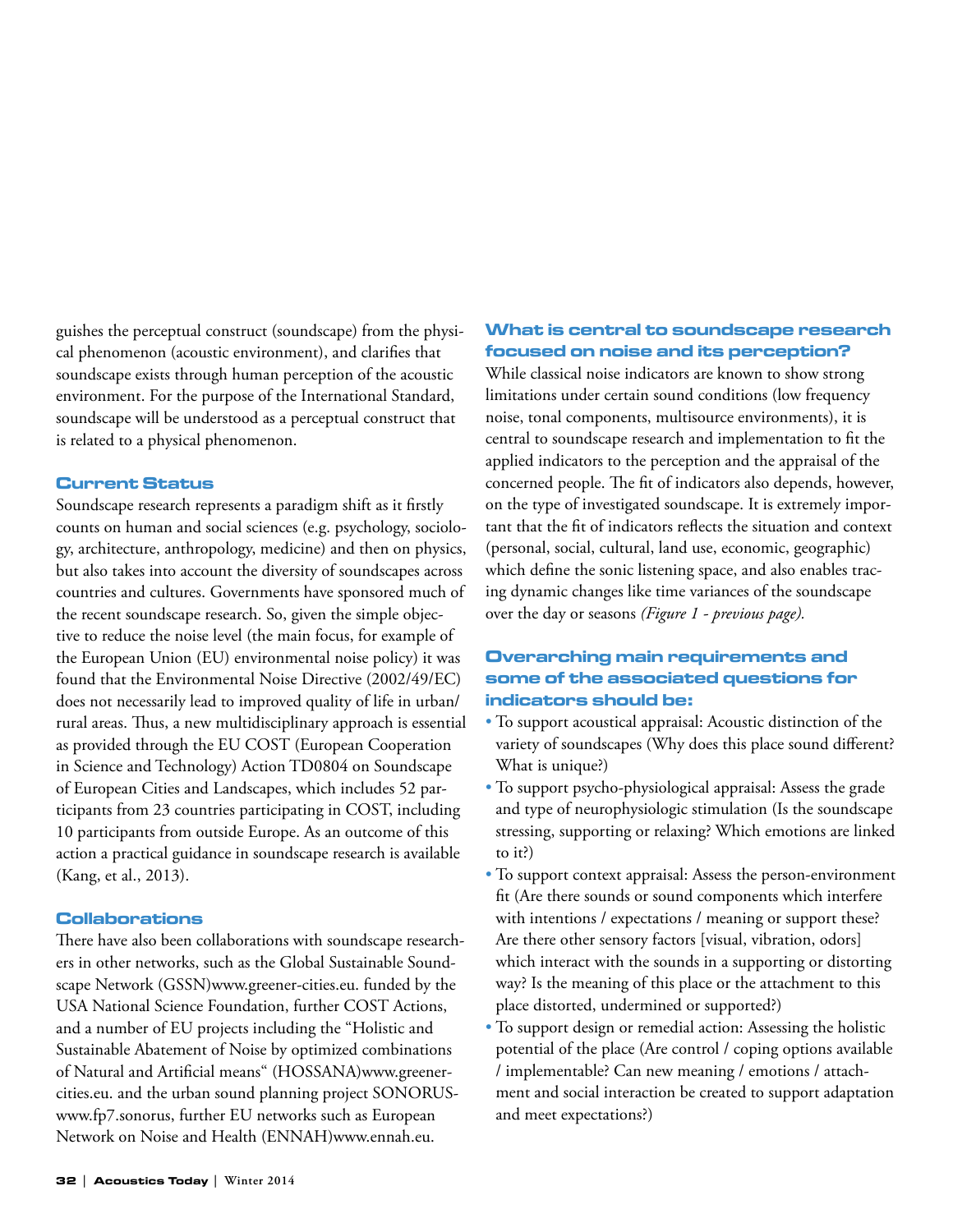guishes the perceptual construct (soundscape) from the physical phenomenon (acoustic environment), and clarifies that soundscape exists through human perception of the acoustic environment. For the purpose of the International Standard, soundscape will be understood as a perceptual construct that is related to a physical phenomenon.

#### Current Status

Soundscape research represents a paradigm shift as it firstly counts on human and social sciences (e.g. psychology, sociology, architecture, anthropology, medicine) and then on physics, but also takes into account the diversity of soundscapes across countries and cultures. Governments have sponsored much of the recent soundscape research. So, given the simple objective to reduce the noise level (the main focus, for example of the European Union (EU) environmental noise policy) it was found that the Environmental Noise Directive (2002/49/EC) does not necessarily lead to improved quality of life in urban/ rural areas. Thus, a new multidisciplinary approach is essential as provided through the EU COST (European Cooperation in Science and Technology) Action TD0804 on Soundscape of European Cities and Landscapes, which includes 52 participants from 23 countries participating in COST, including 10 participants from outside Europe. As an outcome of this action a practical guidance in soundscape research is available (Kang, et al., 2013).

#### Collaborations

There have also been collaborations with soundscape researchers in other networks, such as the Global Sustainable Soundscape Network (GSSN)www.greener-cities.eu. funded by the USA National Science Foundation, further COST Actions, and a number of EU projects including the "Holistic and Sustainable Abatement of Noise by optimized combinations of Natural and Artificial means" (HOSSANA)www.greenercities.eu. and the urban sound planning project SONORUSwww.fp7.sonorus, further EU networks such as European Network on Noise and Health (ENNAH)www.ennah.eu.

# What is central to soundscape research focused on noise and its perception?

While classical noise indicators are known to show strong limitations under certain sound conditions (low frequency noise, tonal components, multisource environments), it is central to soundscape research and implementation to fit the applied indicators to the perception and the appraisal of the concerned people. The fit of indicators also depends, however, on the type of investigated soundscape. It is extremely important that the fit of indicators reflects the situation and context (personal, social, cultural, land use, economic, geographic) which define the sonic listening space, and also enables tracing dynamic changes like time variances of the soundscape over the day or seasons *(Figure 1 - previous page).*

# Overarching main requirements and some of the associated questions for indicators should be:

- To support acoustical appraisal: Acoustic distinction of the variety of soundscapes (Why does this place sound different? What is unique?)
- To support psycho-physiological appraisal: Assess the grade and type of neurophysiologic stimulation (Is the soundscape stressing, supporting or relaxing? Which emotions are linked to it?)
- To support context appraisal: Assess the person-environment fit (Are there sounds or sound components which interfere with intentions / expectations / meaning or support these? Are there other sensory factors [visual, vibration, odors] which interact with the sounds in a supporting or distorting way? Is the meaning of this place or the attachment to this place distorted, undermined or supported?)
- To support design or remedial action: Assessing the holistic potential of the place (Are control / coping options available / implementable? Can new meaning / emotions / attachment and social interaction be created to support adaptation and meet expectations?)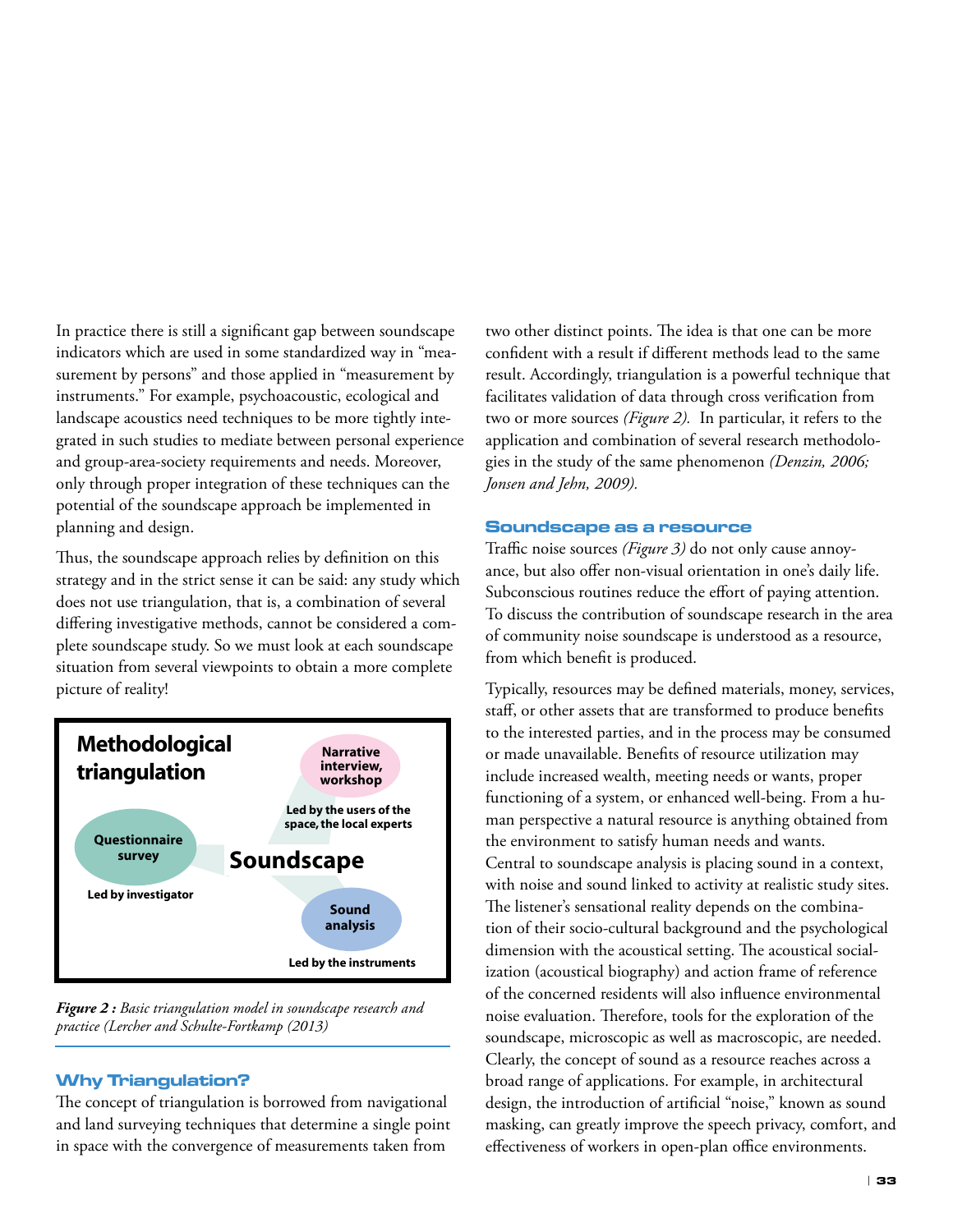In practice there is still a significant gap between soundscape indicators which are used in some standardized way in "measurement by persons" and those applied in "measurement by instruments." For example, psychoacoustic, ecological and landscape acoustics need techniques to be more tightly integrated in such studies to mediate between personal experience and group-area-society requirements and needs. Moreover, only through proper integration of these techniques can the potential of the soundscape approach be implemented in planning and design.

Thus, the soundscape approach relies by definition on this strategy and in the strict sense it can be said: any study which does not use triangulation, that is, a combination of several differing investigative methods, cannot be considered a complete soundscape study. So we must look at each soundscape situation from several viewpoints to obtain a more complete picture of reality!



*Figure 2 : Basic triangulation model in soundscape research and practice (Lercher and Schulte-Fortkamp (2013)*

# Why Triangulation?

The concept of triangulation is borrowed from navigational and land surveying techniques that determine a single point in space with the convergence of measurements taken from

two other distinct points. The idea is that one can be more confident with a result if different methods lead to the same result. Accordingly, triangulation is a powerful technique that facilitates validation of data through cross verification from two or more sources *(Figure 2).* In particular, it refers to the application and combination of several research methodologies in the study of the same phenomenon *(Denzin, 2006; Jonsen and Jehn, 2009).*

#### Soundscape as a resource

Traffic noise sources *(Figure 3)* do not only cause annoyance, but also offer non-visual orientation in one's daily life. Subconscious routines reduce the effort of paying attention. To discuss the contribution of soundscape research in the area of community noise soundscape is understood as a resource, from which benefit is produced.

Typically, resources may be defined materials, money, services, staff, or other assets that are transformed to produce benefits to the interested parties, and in the process may be consumed or made unavailable. Benefits of resource utilization may include increased wealth, meeting needs or wants, proper functioning of a system, or enhanced well-being. From a human perspective a natural resource is anything obtained from the environment to satisfy human needs and wants. Central to soundscape analysis is placing sound in a context, with noise and sound linked to activity at realistic study sites. The listener's sensational reality depends on the combination of their socio-cultural background and the psychological dimension with the acoustical setting. The acoustical socialization (acoustical biography) and action frame of reference of the concerned residents will also influence environmental noise evaluation. Therefore, tools for the exploration of the soundscape, microscopic as well as macroscopic, are needed. Clearly, the concept of sound as a resource reaches across a broad range of applications. For example, in architectural design, the introduction of artificial "noise," known as sound masking, can greatly improve the speech privacy, comfort, and effectiveness of workers in open-plan office environments.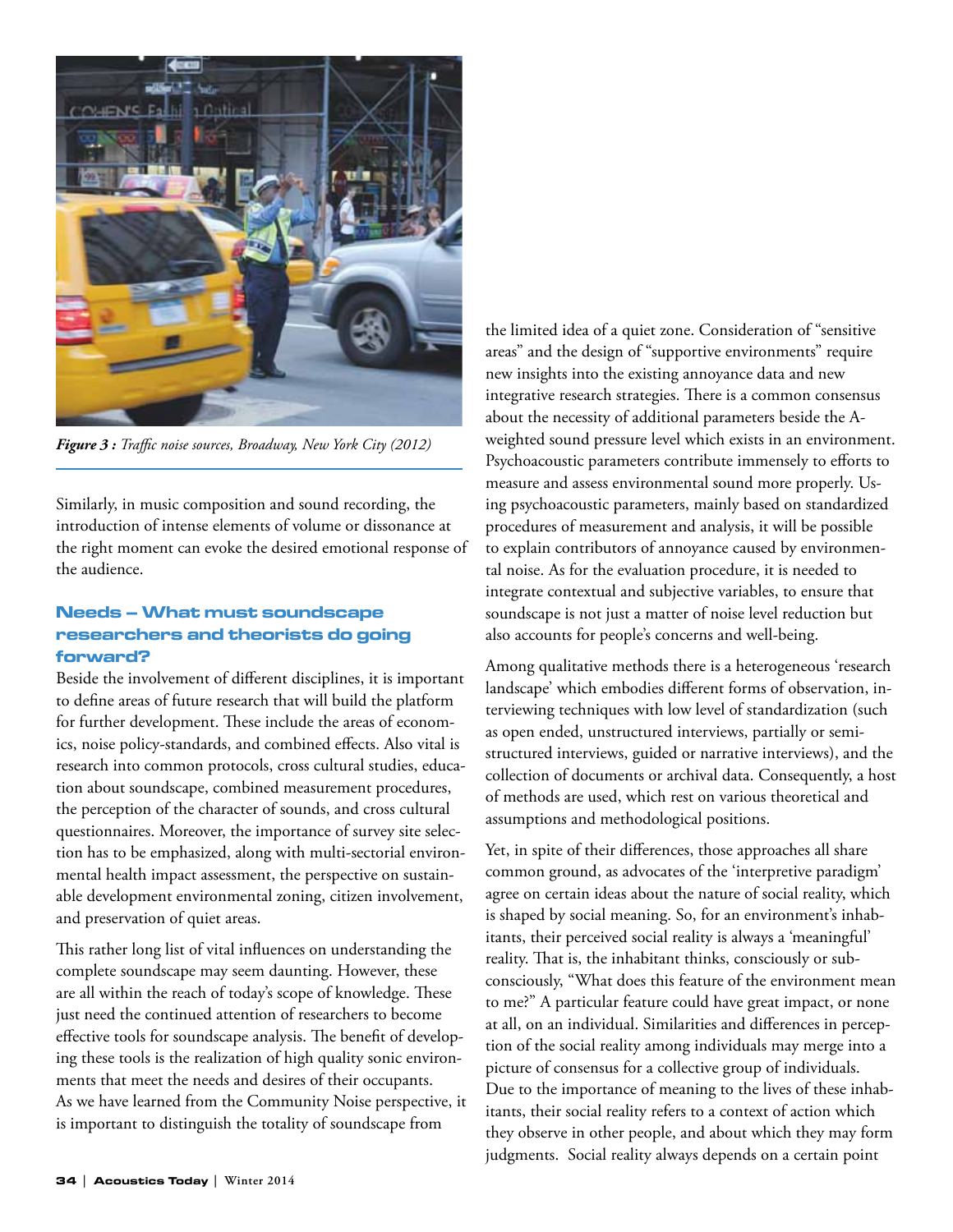

*Figure 3 : Traffic noise sources, Broadway, New York City (2012)*

Similarly, in music composition and sound recording, the introduction of intense elements of volume or dissonance at the right moment can evoke the desired emotional response of the audience.

# Needs – What must soundscape researchers and theorists do going forward?

Beside the involvement of different disciplines, it is important to define areas of future research that will build the platform for further development. These include the areas of economics, noise policy-standards, and combined effects. Also vital is research into common protocols, cross cultural studies, education about soundscape, combined measurement procedures, the perception of the character of sounds, and cross cultural questionnaires. Moreover, the importance of survey site selection has to be emphasized, along with multi-sectorial environmental health impact assessment, the perspective on sustainable development environmental zoning, citizen involvement, and preservation of quiet areas.

This rather long list of vital influences on understanding the complete soundscape may seem daunting. However, these are all within the reach of today's scope of knowledge. These just need the continued attention of researchers to become effective tools for soundscape analysis. The benefit of developing these tools is the realization of high quality sonic environments that meet the needs and desires of their occupants. As we have learned from the Community Noise perspective, it is important to distinguish the totality of soundscape from

the limited idea of a quiet zone. Consideration of "sensitive areas" and the design of "supportive environments" require new insights into the existing annoyance data and new integrative research strategies. There is a common consensus about the necessity of additional parameters beside the Aweighted sound pressure level which exists in an environment. Psychoacoustic parameters contribute immensely to efforts to measure and assess environmental sound more properly. Using psychoacoustic parameters, mainly based on standardized procedures of measurement and analysis, it will be possible to explain contributors of annoyance caused by environmental noise. As for the evaluation procedure, it is needed to integrate contextual and subjective variables, to ensure that soundscape is not just a matter of noise level reduction but also accounts for people's concerns and well-being.

Among qualitative methods there is a heterogeneous 'research landscape' which embodies different forms of observation, interviewing techniques with low level of standardization (such as open ended, unstructured interviews, partially or semistructured interviews, guided or narrative interviews), and the collection of documents or archival data. Consequently, a host of methods are used, which rest on various theoretical and assumptions and methodological positions.

Yet, in spite of their differences, those approaches all share common ground, as advocates of the 'interpretive paradigm' agree on certain ideas about the nature of social reality, which is shaped by social meaning. So, for an environment's inhabitants, their perceived social reality is always a 'meaningful' reality. That is, the inhabitant thinks, consciously or subconsciously, "What does this feature of the environment mean to me?" A particular feature could have great impact, or none at all, on an individual. Similarities and differences in perception of the social reality among individuals may merge into a picture of consensus for a collective group of individuals. Due to the importance of meaning to the lives of these inhabitants, their social reality refers to a context of action which they observe in other people, and about which they may form judgments. Social reality always depends on a certain point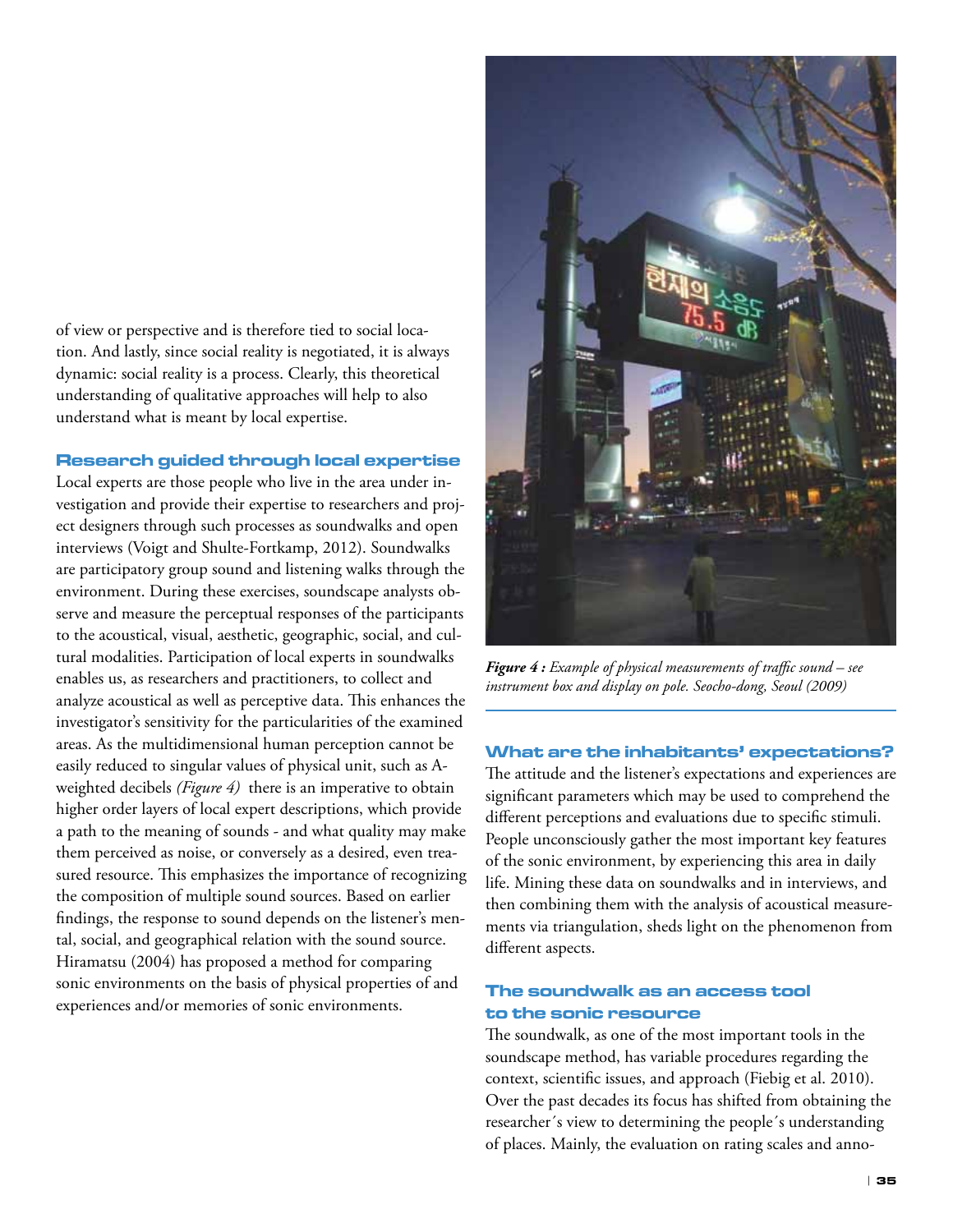of view or perspective and is therefore tied to social location. And lastly, since social reality is negotiated, it is always dynamic: social reality is a process. Clearly, this theoretical understanding of qualitative approaches will help to also understand what is meant by local expertise.

#### Research guided through local expertise

Local experts are those people who live in the area under investigation and provide their expertise to researchers and project designers through such processes as soundwalks and open interviews (Voigt and Shulte-Fortkamp, 2012). Soundwalks are participatory group sound and listening walks through the environment. During these exercises, soundscape analysts observe and measure the perceptual responses of the participants to the acoustical, visual, aesthetic, geographic, social, and cultural modalities. Participation of local experts in soundwalks enables us, as researchers and practitioners, to collect and analyze acoustical as well as perceptive data. This enhances the investigator's sensitivity for the particularities of the examined areas. As the multidimensional human perception cannot be easily reduced to singular values of physical unit, such as Aweighted decibels *(Figure 4)* there is an imperative to obtain higher order layers of local expert descriptions, which provide a path to the meaning of sounds - and what quality may make them perceived as noise, or conversely as a desired, even treasured resource. This emphasizes the importance of recognizing the composition of multiple sound sources. Based on earlier findings, the response to sound depends on the listener's mental, social, and geographical relation with the sound source. Hiramatsu (2004) has proposed a method for comparing sonic environments on the basis of physical properties of and experiences and/or memories of sonic environments.



*Figure 4 : Example of physical measurements of traffic sound – see instrument box and display on pole. Seocho-dong, Seoul (2009)*

# What are the inhabitants' expectations?

The attitude and the listener's expectations and experiences are significant parameters which may be used to comprehend the different perceptions and evaluations due to specific stimuli. People unconsciously gather the most important key features of the sonic environment, by experiencing this area in daily life. Mining these data on soundwalks and in interviews, and then combining them with the analysis of acoustical measurements via triangulation, sheds light on the phenomenon from different aspects.

# The soundwalk as an access tool to the sonic resource

The soundwalk, as one of the most important tools in the soundscape method, has variable procedures regarding the context, scientific issues, and approach (Fiebig et al. 2010). Over the past decades its focus has shifted from obtaining the researcher´s view to determining the people´s understanding of places. Mainly, the evaluation on rating scales and anno-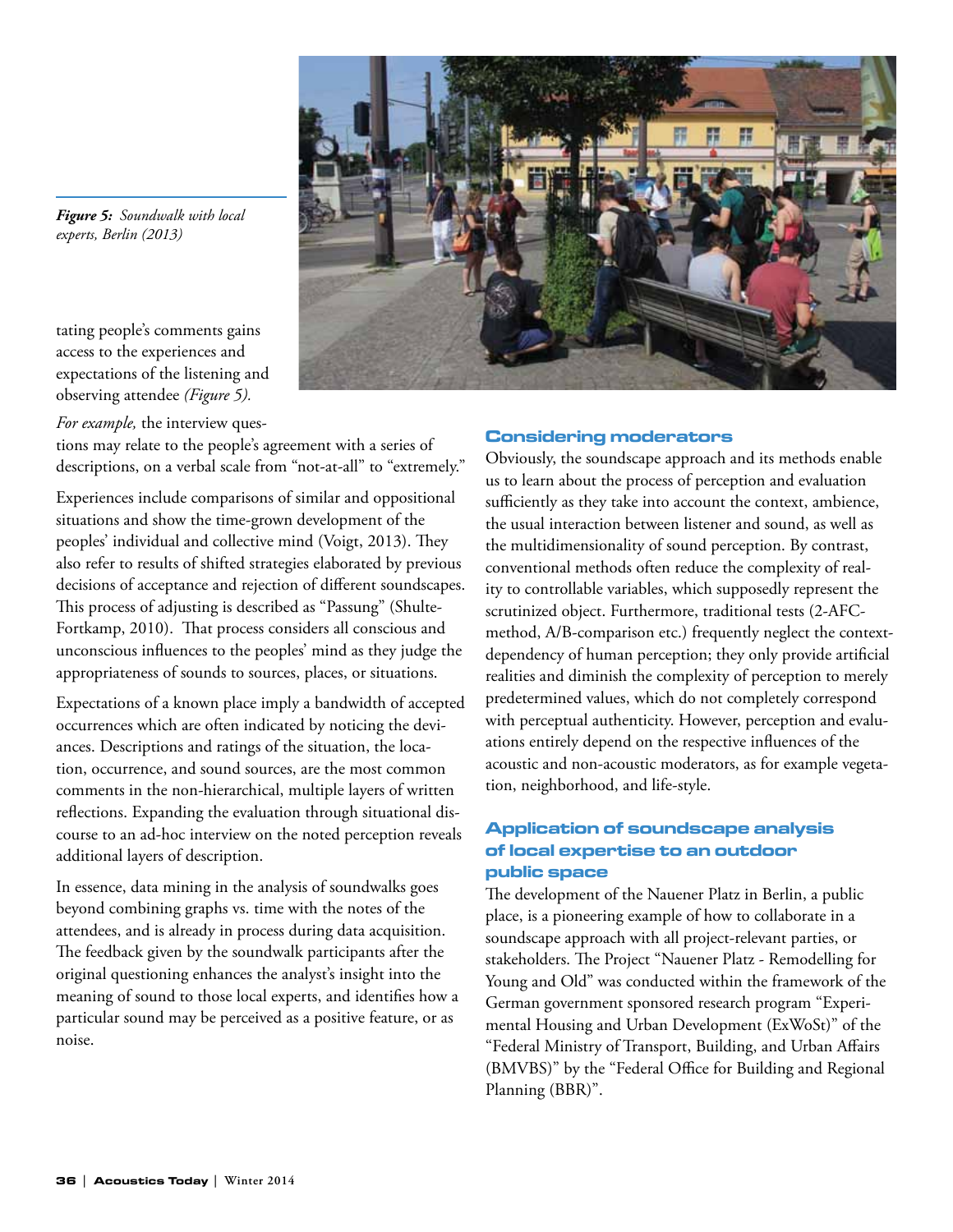

*Figure 5: Soundwalk with local experts, Berlin (2013)*

tating people's comments gains access to the experiences and expectations of the listening and observing attendee *(Figure 5).*

*For example,* the interview ques-

tions may relate to the people's agreement with a series of descriptions, on a verbal scale from "not-at-all" to "extremely."

Experiences include comparisons of similar and oppositional situations and show the time-grown development of the peoples' individual and collective mind (Voigt, 2013). They also refer to results of shifted strategies elaborated by previous decisions of acceptance and rejection of different soundscapes. This process of adjusting is described as "Passung" (Shulte-Fortkamp, 2010). That process considers all conscious and unconscious influences to the peoples' mind as they judge the appropriateness of sounds to sources, places, or situations.

Expectations of a known place imply a bandwidth of accepted occurrences which are often indicated by noticing the deviances. Descriptions and ratings of the situation, the location, occurrence, and sound sources, are the most common comments in the non-hierarchical, multiple layers of written reflections. Expanding the evaluation through situational discourse to an ad-hoc interview on the noted perception reveals additional layers of description.

In essence, data mining in the analysis of soundwalks goes beyond combining graphs vs. time with the notes of the attendees, and is already in process during data acquisition. The feedback given by the soundwalk participants after the original questioning enhances the analyst's insight into the meaning of sound to those local experts, and identifies how a particular sound may be perceived as a positive feature, or as noise.

#### Considering moderators

Obviously, the soundscape approach and its methods enable us to learn about the process of perception and evaluation sufficiently as they take into account the context, ambience, the usual interaction between listener and sound, as well as the multidimensionality of sound perception. By contrast, conventional methods often reduce the complexity of reality to controllable variables, which supposedly represent the scrutinized object. Furthermore, traditional tests (2-AFCmethod, A/B-comparison etc.) frequently neglect the contextdependency of human perception; they only provide artificial realities and diminish the complexity of perception to merely predetermined values, which do not completely correspond with perceptual authenticity. However, perception and evaluations entirely depend on the respective influences of the acoustic and non-acoustic moderators, as for example vegetation, neighborhood, and life-style.

# Application of soundscape analysis of local expertise to an outdoor public space

The development of the Nauener Platz in Berlin, a public place, is a pioneering example of how to collaborate in a soundscape approach with all project-relevant parties, or stakeholders. The Project "Nauener Platz - Remodelling for Young and Old" was conducted within the framework of the German government sponsored research program "Experimental Housing and Urban Development (ExWoSt)" of the "Federal Ministry of Transport, Building, and Urban Affairs (BMVBS)" by the "Federal Office for Building and Regional Planning (BBR)".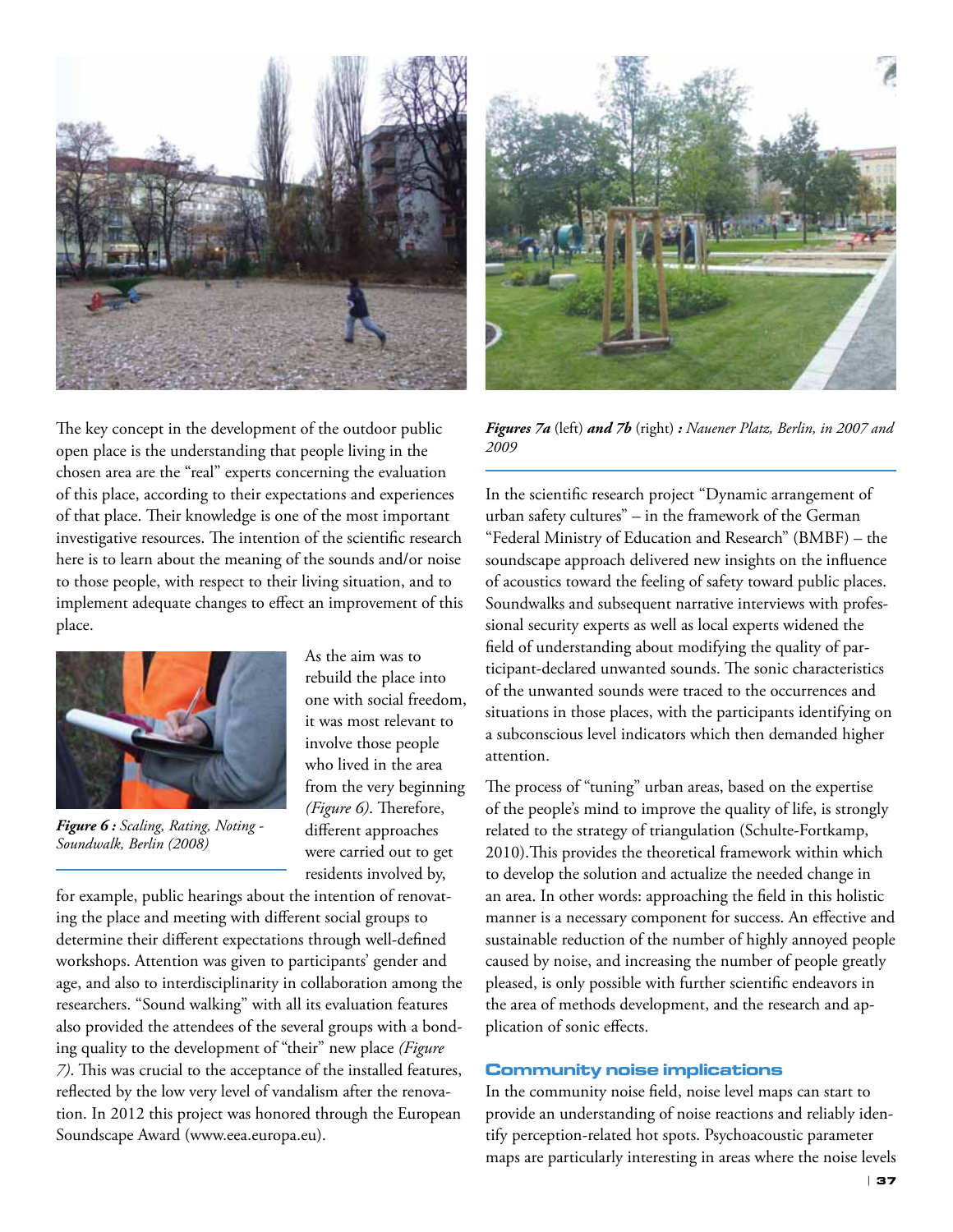

The key concept in the development of the outdoor public open place is the understanding that people living in the chosen area are the "real" experts concerning the evaluation of this place, according to their expectations and experiences of that place. Their knowledge is one of the most important investigative resources. The intention of the scientific research here is to learn about the meaning of the sounds and/or noise to those people, with respect to their living situation, and to implement adequate changes to effect an improvement of this place.



*Figure 6 : Scaling, Rating, Noting - Soundwalk, Berlin (2008)*

As the aim was to rebuild the place into one with social freedom, it was most relevant to involve those people who lived in the area from the very beginning *(Figure 6)*. Therefore, different approaches were carried out to get residents involved by,

for example, public hearings about the intention of renovating the place and meeting with different social groups to determine their different expectations through well-defined workshops. Attention was given to participants' gender and age, and also to interdisciplinarity in collaboration among the researchers. "Sound walking" with all its evaluation features also provided the attendees of the several groups with a bonding quality to the development of "their" new place *(Figure 7)*. This was crucial to the acceptance of the installed features, reflected by the low very level of vandalism after the renovation. In 2012 this project was honored through the European Soundscape Award (www.eea.europa.eu).



*Figures 7a* (left) *and 7b* (right) *: Nauener Platz, Berlin, in 2007 and 2009*

In the scientific research project "Dynamic arrangement of urban safety cultures" – in the framework of the German "Federal Ministry of Education and Research" (BMBF) – the soundscape approach delivered new insights on the influence of acoustics toward the feeling of safety toward public places. Soundwalks and subsequent narrative interviews with professional security experts as well as local experts widened the field of understanding about modifying the quality of participant-declared unwanted sounds. The sonic characteristics of the unwanted sounds were traced to the occurrences and situations in those places, with the participants identifying on a subconscious level indicators which then demanded higher attention.

The process of "tuning" urban areas, based on the expertise of the people's mind to improve the quality of life, is strongly related to the strategy of triangulation (Schulte-Fortkamp, 2010).This provides the theoretical framework within which to develop the solution and actualize the needed change in an area. In other words: approaching the field in this holistic manner is a necessary component for success. An effective and sustainable reduction of the number of highly annoyed people caused by noise, and increasing the number of people greatly pleased, is only possible with further scientific endeavors in the area of methods development, and the research and application of sonic effects.

# Community noise implications

In the community noise field, noise level maps can start to provide an understanding of noise reactions and reliably identify perception-related hot spots. Psychoacoustic parameter maps are particularly interesting in areas where the noise levels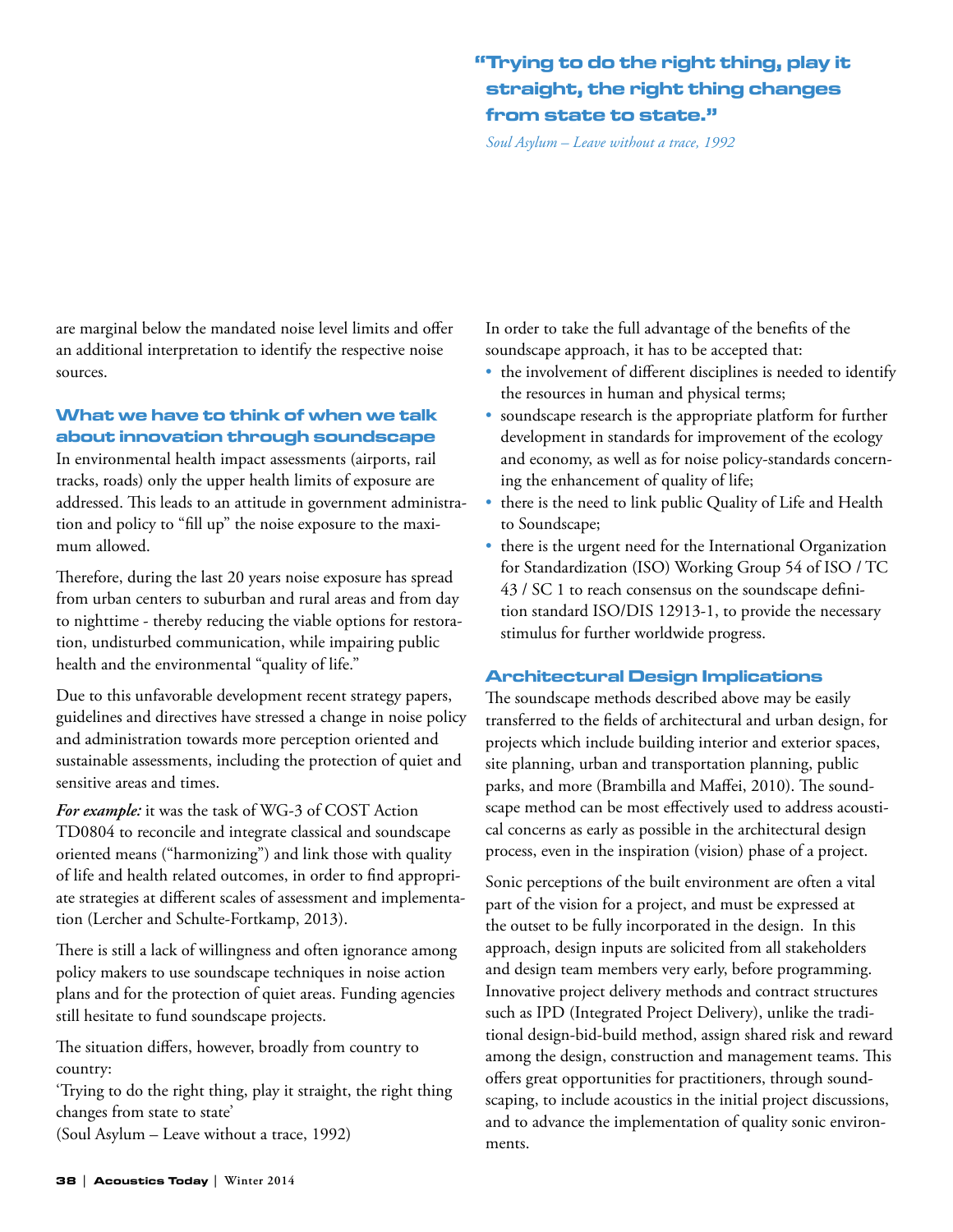# "Trying to do the right thing, play it straight, the right thing changes from state to state."

*Soul Asylum – Leave without a trace, 1992*

are marginal below the mandated noise level limits and offer an additional interpretation to identify the respective noise sources.

# What we have to think of when we talk about innovation through soundscape

In environmental health impact assessments (airports, rail tracks, roads) only the upper health limits of exposure are addressed. This leads to an attitude in government administration and policy to "fill up" the noise exposure to the maximum allowed.

Therefore, during the last 20 years noise exposure has spread from urban centers to suburban and rural areas and from day to nighttime - thereby reducing the viable options for restoration, undisturbed communication, while impairing public health and the environmental "quality of life."

Due to this unfavorable development recent strategy papers, guidelines and directives have stressed a change in noise policy and administration towards more perception oriented and sustainable assessments, including the protection of quiet and sensitive areas and times.

*For example:* it was the task of WG-3 of COST Action TD0804 to reconcile and integrate classical and soundscape oriented means ("harmonizing") and link those with quality of life and health related outcomes, in order to find appropriate strategies at different scales of assessment and implementation (Lercher and Schulte-Fortkamp, 2013).

There is still a lack of willingness and often ignorance among policy makers to use soundscape techniques in noise action plans and for the protection of quiet areas. Funding agencies still hesitate to fund soundscape projects.

The situation differs, however, broadly from country to country:

'Trying to do the right thing, play it straight, the right thing changes from state to state'

(Soul Asylum – Leave without a trace, 1992)

In order to take the full advantage of the benefits of the soundscape approach, it has to be accepted that:

- the involvement of different disciplines is needed to identify the resources in human and physical terms;
- soundscape research is the appropriate platform for further development in standards for improvement of the ecology and economy, as well as for noise policy-standards concerning the enhancement of quality of life;
- there is the need to link public Quality of Life and Health to Soundscape;
- there is the urgent need for the International Organization for Standardization (ISO) Working Group 54 of ISO / TC 43 / SC 1 to reach consensus on the soundscape definition standard ISO/DIS 12913-1, to provide the necessary stimulus for further worldwide progress.

# Architectural Design Implications

The soundscape methods described above may be easily transferred to the fields of architectural and urban design, for projects which include building interior and exterior spaces, site planning, urban and transportation planning, public parks, and more (Brambilla and Maffei, 2010). The soundscape method can be most effectively used to address acoustical concerns as early as possible in the architectural design process, even in the inspiration (vision) phase of a project.

Sonic perceptions of the built environment are often a vital part of the vision for a project, and must be expressed at the outset to be fully incorporated in the design. In this approach, design inputs are solicited from all stakeholders and design team members very early, before programming. Innovative project delivery methods and contract structures such as IPD (Integrated Project Delivery), unlike the traditional design-bid-build method, assign shared risk and reward among the design, construction and management teams. This offers great opportunities for practitioners, through soundscaping, to include acoustics in the initial project discussions, and to advance the implementation of quality sonic environments.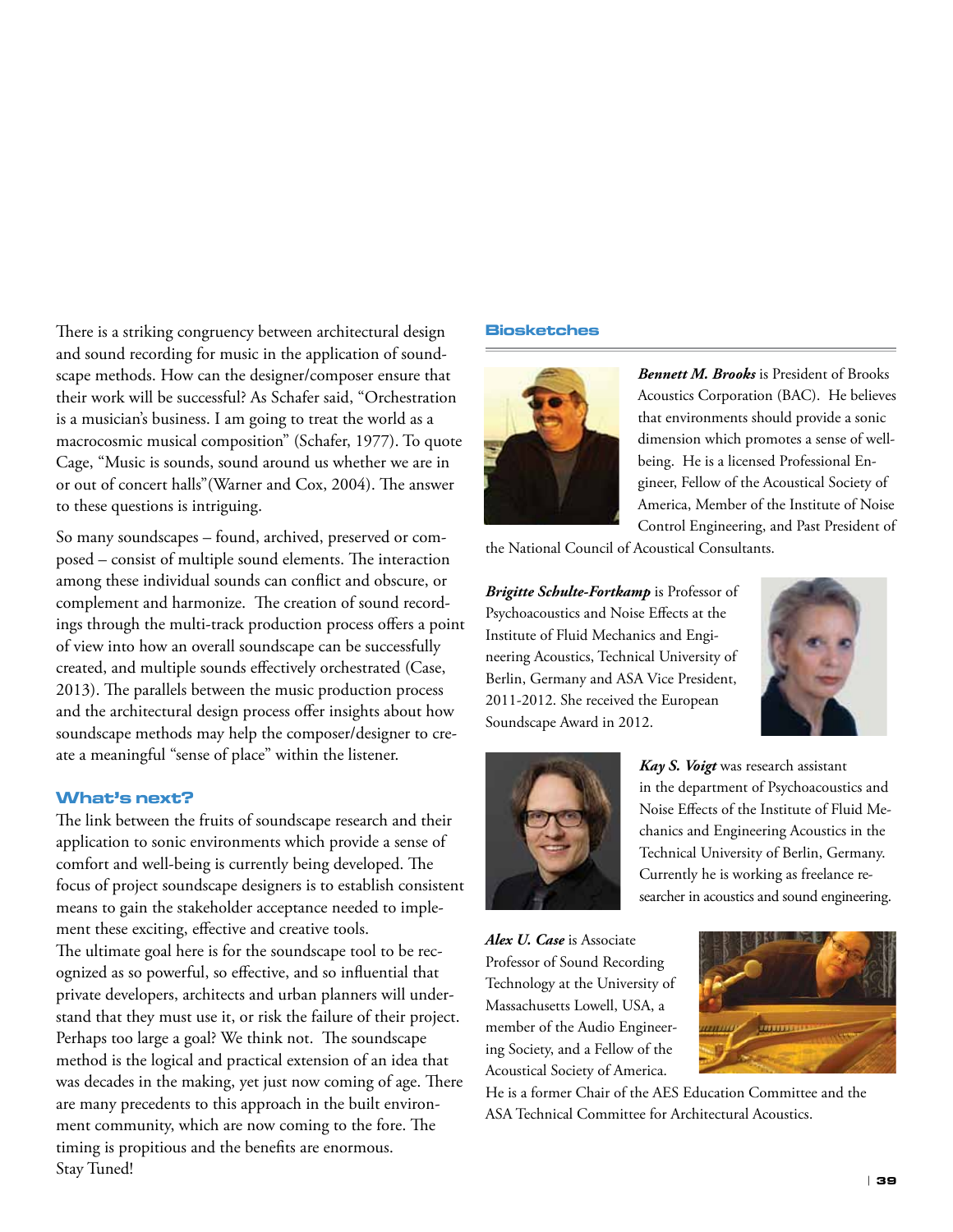There is a striking congruency between architectural design and sound recording for music in the application of soundscape methods. How can the designer/composer ensure that their work will be successful? As Schafer said, "Orchestration is a musician's business. I am going to treat the world as a macrocosmic musical composition" (Schafer, 1977). To quote Cage, "Music is sounds, sound around us whether we are in or out of concert halls"(Warner and Cox, 2004). The answer to these questions is intriguing.

So many soundscapes – found, archived, preserved or composed – consist of multiple sound elements. The interaction among these individual sounds can conflict and obscure, or complement and harmonize. The creation of sound recordings through the multi-track production process offers a point of view into how an overall soundscape can be successfully created, and multiple sounds effectively orchestrated (Case, 2013). The parallels between the music production process and the architectural design process offer insights about how soundscape methods may help the composer/designer to create a meaningful "sense of place" within the listener.

#### What's next?

The link between the fruits of soundscape research and their application to sonic environments which provide a sense of comfort and well-being is currently being developed. The focus of project soundscape designers is to establish consistent means to gain the stakeholder acceptance needed to implement these exciting, effective and creative tools. The ultimate goal here is for the soundscape tool to be recognized as so powerful, so effective, and so influential that private developers, architects and urban planners will understand that they must use it, or risk the failure of their project. Perhaps too large a goal? We think not. The soundscape method is the logical and practical extension of an idea that was decades in the making, yet just now coming of age. There are many precedents to this approach in the built environment community, which are now coming to the fore. The timing is propitious and the benefits are enormous. Stay Tuned!

#### Biosketches



*Bennett M. Brooks* is President of Brooks Acoustics Corporation (BAC). He believes that environments should provide a sonic dimension which promotes a sense of wellbeing. He is a licensed Professional Engineer, Fellow of the Acoustical Society of America, Member of the Institute of Noise Control Engineering, and Past President of

the National Council of Acoustical Consultants.

*Brigitte Schulte-Fortkamp* is Professor of Psychoacoustics and Noise Effects at the Institute of Fluid Mechanics and Engineering Acoustics, Technical University of Berlin, Germany and ASA Vice President, 2011-2012. She received the European Soundscape Award in 2012.





*Kay S. Voigt* was research assistant in the department of Psychoacoustics and Noise Effects of the Institute of Fluid Mechanics and Engineering Acoustics in the Technical University of Berlin, Germany. Currently he is working as freelance researcher in acoustics and sound engineering.

*Alex U. Case* is Associate Professor of Sound Recording Technology at the University of Massachusetts Lowell, USA, a member of the Audio Engineering Society, and a Fellow of the Acoustical Society of America.



He is a former Chair of the AES Education Committee and the ASA Technical Committee for Architectural Acoustics.